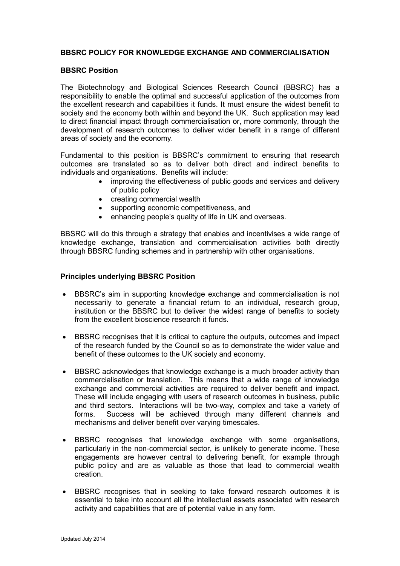# **BBSRC POLICY FOR KNOWLEDGE EXCHANGE AND COMMERCIALISATION**

#### **BBSRC Position**

The Biotechnology and Biological Sciences Research Council (BBSRC) has a responsibility to enable the optimal and successful application of the outcomes from the excellent research and capabilities it funds. It must ensure the widest benefit to society and the economy both within and beyond the UK. Such application may lead to direct financial impact through commercialisation or, more commonly, through the development of research outcomes to deliver wider benefit in a range of different areas of society and the economy.

Fundamental to this position is BBSRC's commitment to ensuring that research outcomes are translated so as to deliver both direct and indirect benefits to individuals and organisations. Benefits will include:

- improving the effectiveness of public goods and services and delivery of public policy
- creating commercial wealth
- supporting economic competitiveness, and
- enhancing people's quality of life in UK and overseas.

BBSRC will do this through a strategy that enables and incentivises a wide range of knowledge exchange, translation and commercialisation activities both directly through BBSRC funding schemes and in partnership with other organisations.

## **Principles underlying BBSRC Position**

- BBSRC's aim in supporting knowledge exchange and commercialisation is not necessarily to generate a financial return to an individual, research group, institution or the BBSRC but to deliver the widest range of benefits to society from the excellent bioscience research it funds.
- BBSRC recognises that it is critical to capture the outputs, outcomes and impact of the research funded by the Council so as to demonstrate the wider value and benefit of these outcomes to the UK society and economy.
- BBSRC acknowledges that knowledge exchange is a much broader activity than commercialisation or translation. This means that a wide range of knowledge exchange and commercial activities are required to deliver benefit and impact. These will include engaging with users of research outcomes in business, public and third sectors. Interactions will be two-way, complex and take a variety of forms. Success will be achieved through many different channels and mechanisms and deliver benefit over varying timescales.
- BBSRC recognises that knowledge exchange with some organisations, particularly in the non-commercial sector, is unlikely to generate income. These engagements are however central to delivering benefit, for example through public policy and are as valuable as those that lead to commercial wealth creation.
- BBSRC recognises that in seeking to take forward research outcomes it is essential to take into account all the intellectual assets associated with research activity and capabilities that are of potential value in any form.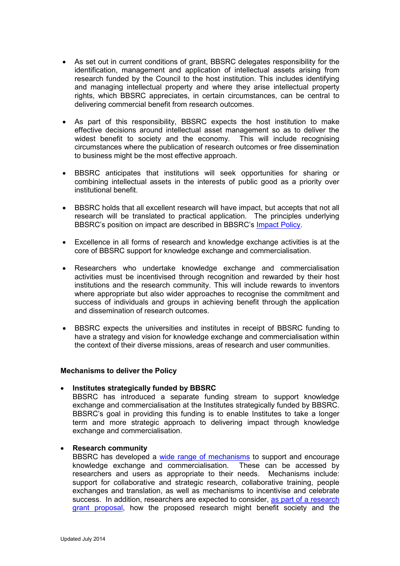- As set out in current conditions of grant, BBSRC delegates responsibility for the identification, management and application of intellectual assets arising from research funded by the Council to the host institution. This includes identifying and managing intellectual property and where they arise intellectual property rights, which BBSRC appreciates, in certain circumstances, can be central to delivering commercial benefit from research outcomes.
- As part of this responsibility. BBSRC expects the host institution to make effective decisions around intellectual asset management so as to deliver the widest benefit to society and the economy. This will include recognising circumstances where the publication of research outcomes or free dissemination to business might be the most effective approach.
- BBSRC anticipates that institutions will seek opportunities for sharing or combining intellectual assets in the interests of public good as a priority over institutional benefit.
- BBSRC holds that all excellent research will have impact, but accepts that not all research will be translated to practical application. The principles underlying BBSRC's position on impact are described in BBSRC's [Impact Policy.](http://www.bbsrc.ac.uk/web/FILES/Policies/bbsrc-impact-policy.pdf)
- Excellence in all forms of research and knowledge exchange activities is at the core of BBSRC support for knowledge exchange and commercialisation.
- Researchers who undertake knowledge exchange and commercialisation activities must be incentivised through recognition and rewarded by their host institutions and the research community. This will include rewards to inventors where appropriate but also wider approaches to recognise the commitment and success of individuals and groups in achieving benefit through the application and dissemination of research outcomes.
- BBSRC expects the universities and institutes in receipt of BBSRC funding to have a strategy and vision for knowledge exchange and commercialisation within the context of their diverse missions, areas of research and user communities.

#### **Mechanisms to deliver the Policy**

• **Institutes strategically funded by BBSRC**

BBSRC has introduced a separate funding stream to support knowledge exchange and commercialisation at the Institutes strategically funded by BBSRC. BBSRC's goal in providing this funding is to enable Institutes to take a longer term and more strategic approach to delivering impact through knowledge exchange and commercialisation.

#### • **Research community**

BBSRC has developed a [wide range of mechanisms](http://www.bbsrc.ac.uk/business/index.html) to support and encourage knowledge exchange and commercialisation. These can be accessed by researchers and users as appropriate to their needs. Mechanisms include: support for collaborative and strategic research, collaborative training, people exchanges and translation, as well as mechanisms to incentivise and celebrate success. In addition, researchers are expected to consider, as part of a research [grant proposal,](http://www.rcuk.ac.uk/ke/impacts/) how the proposed research might benefit society and the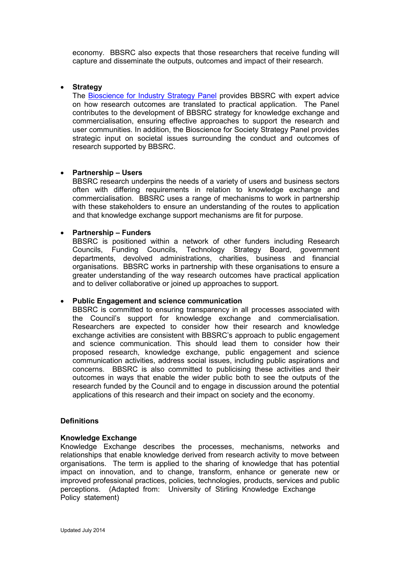economy. BBSRC also expects that those researchers that receive funding will capture and disseminate the outputs, outcomes and impact of their research.

## • **Strategy**

The [Bioscience for Industry Strategy Panel](http://www.bbsrc.ac.uk/organisation/structures/panels/industry/industry-index.aspx) provides BBSRC with expert advice on how research outcomes are translated to practical application. The Panel contributes to the development of BBSRC strategy for knowledge exchange and commercialisation, ensuring effective approaches to support the research and user communities. In addition, the Bioscience for Society Strategy Panel provides strategic input on societal issues surrounding the conduct and outcomes of research supported by BBSRC.

## • **Partnership – Users**

BBSRC research underpins the needs of a variety of users and business sectors often with differing requirements in relation to knowledge exchange and commercialisation. BBSRC uses a range of mechanisms to work in partnership with these stakeholders to ensure an understanding of the routes to application and that knowledge exchange support mechanisms are fit for purpose.

## • **Partnership – Funders**

BBSRC is positioned within a network of other funders including Research Councils, Funding Councils, Technology Strategy Board, government departments, devolved administrations, charities, business and financial organisations. BBSRC works in partnership with these organisations to ensure a greater understanding of the way research outcomes have practical application and to deliver collaborative or joined up approaches to support.

#### • **Public Engagement and science communication**

BBSRC is committed to ensuring transparency in all processes associated with the Council's support for knowledge exchange and commercialisation. Researchers are expected to consider how their research and knowledge exchange activities are consistent with BBSRC's approach to public engagement and science communication. This should lead them to consider how their proposed research, knowledge exchange, public engagement and science communication activities, address social issues, including public aspirations and concerns. BBSRC is also committed to publicising these activities and their outcomes in ways that enable the wider public both to see the outputs of the research funded by the Council and to engage in discussion around the potential applications of this research and their impact on society and the economy.

#### **Definitions**

#### **Knowledge Exchange**

Knowledge Exchange describes the processes, mechanisms, networks and relationships that enable knowledge derived from research activity to move between organisations. The term is applied to the sharing of knowledge that has potential impact on innovation, and to change, transform, enhance or generate new or improved professional practices, policies, technologies, products, services and public perceptions. (Adapted from: University of Stirling Knowledge Exchange Policy statement)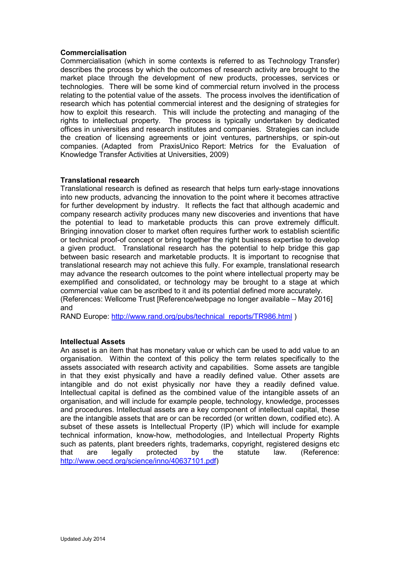## **Commercialisation**

Commercialisation (which in some contexts is referred to as Technology Transfer) describes the process by which the outcomes of research activity are brought to the market place through the development of new products, processes, services or technologies. There will be some kind of commercial return involved in the process relating to the potential value of the assets. The process involves the identification of research which has potential commercial interest and the designing of strategies for how to exploit this research. This will include the protecting and managing of the rights to intellectual property. The process is typically undertaken by dedicated offices in universities and research institutes and companies. Strategies can include the creation of licensing agreements or joint ventures, partnerships, or spin-out companies. (Adapted from PraxisUnico Report: Metrics for the Evaluation of Knowledge Transfer Activities at Universities, 2009)

#### **Translational research**

Translational research is defined as research that helps turn early-stage innovations into new products, advancing the innovation to the point where it becomes attractive for further development by industry. It reflects the fact that although academic and company research activity produces many new discoveries and inventions that have the potential to lead to marketable products this can prove extremely difficult. Bringing innovation closer to market often requires further work to establish scientific or technical proof-of concept or bring together the right business expertise to develop a given product. Translational research has the potential to help bridge this gap between basic research and marketable products. It is important to recognise that translational research may not achieve this fully. For example, translational research may advance the research outcomes to the point where intellectual property may be exemplified and consolidated, or technology may be brought to a stage at which commercial value can be ascribed to it and its potential defined more accurately. (References: Wellcome Trust [Reference/webpage no longer available – May 2016] and

RAND Europe: [http://www.rand.org/pubs/technical\\_reports/TR986.html](http://www.rand.org/pubs/technical_reports/TR986.html) )

# **Intellectual Assets**

An asset is an item that has monetary value or which can be used to add value to an organisation. Within the context of this policy the term relates specifically to the assets associated with research activity and capabilities. Some assets are tangible in that they exist physically and have a readily defined value. Other assets are intangible and do not exist physically nor have they a readily defined value. Intellectual capital is defined as the combined value of the intangible assets of an organisation, and will include for example people, technology, knowledge, processes and procedures. Intellectual assets are a key component of intellectual capital, these are the intangible assets that are or can be recorded (or written down, codified etc). A subset of these assets is Intellectual Property (IP) which will include for example technical information, know-how, methodologies, and Intellectual Property Rights such as patents, plant breeders rights, trademarks, copyright, registered designs etc that are legally protected by the statute law. (Reference: [http://www.oecd.org/science/inno/40637101.pdf\)](http://www.oecd.org/science/inno/40637101.pdf)